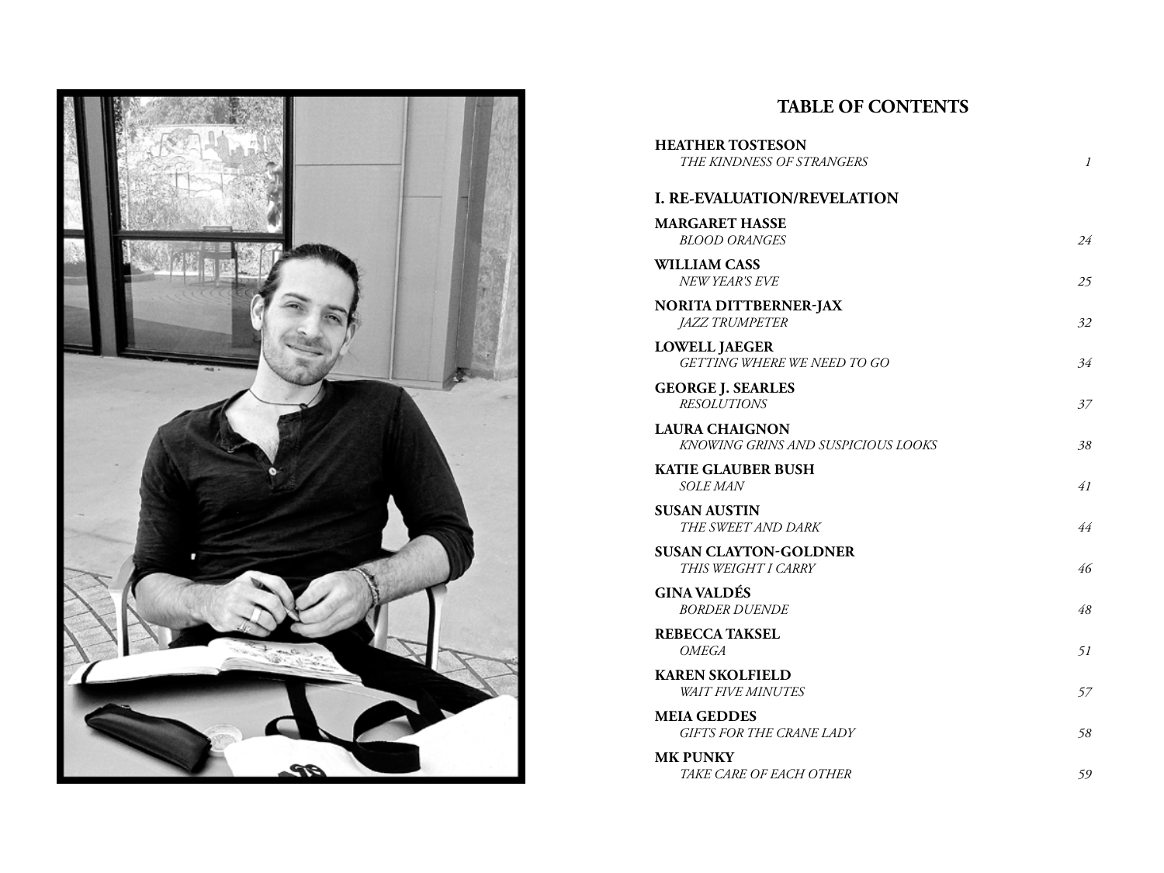

## **TABLE OF CONTENTS**

| <b>HEATHER TOSTESON</b><br>THE KINDNESS OF STRANGERS        | 1  |
|-------------------------------------------------------------|----|
| <b>I. RE-EVALUATION/REVELATION</b>                          |    |
| <b>MARGARET HASSE</b><br>BLOOD ORANGES                      | 24 |
| <b>WILLIAM CASS</b><br>NEW YEAR'S EVE                       | 25 |
| <b>NORITA DITTBERNER-JAX</b><br><i>JAZZ TRUMPETER</i>       | 32 |
| <b>LOWELL JAEGER</b><br>GETTING WHERE WE NEED TO GO         | 34 |
| <b>GEORGE J. SEARLES</b><br><b>RESOLUTIONS</b>              | 37 |
| <b>LAURA CHAIGNON</b><br>KNOWING GRINS AND SUSPICIOUS LOOKS | 38 |
| <b>KATIE GLAUBER BUSH</b><br><b>SOLE MAN</b>                | 41 |
| <b>SUSAN AUSTIN</b><br>THE SWEET AND DARK                   | 44 |
| <b>SUSAN CLAYTON-GOLDNER</b><br>THIS WEIGHT I CARRY         | 46 |
| <b>GINA VALDÉS</b><br><b>BORDER DUENDE</b>                  | 48 |
| <b>REBECCA TAKSEL</b><br>OMEGA                              | 51 |
| <b>KAREN SKOLFIELD</b><br><b>WAIT FIVE MINUTES</b>          | 57 |
| <b>MEIA GEDDES</b><br><b>GIFTS FOR THE CRANE LADY</b>       | 58 |
| <b>MK PUNKY</b><br>TAKE CARE OF EACH OTHER                  | 59 |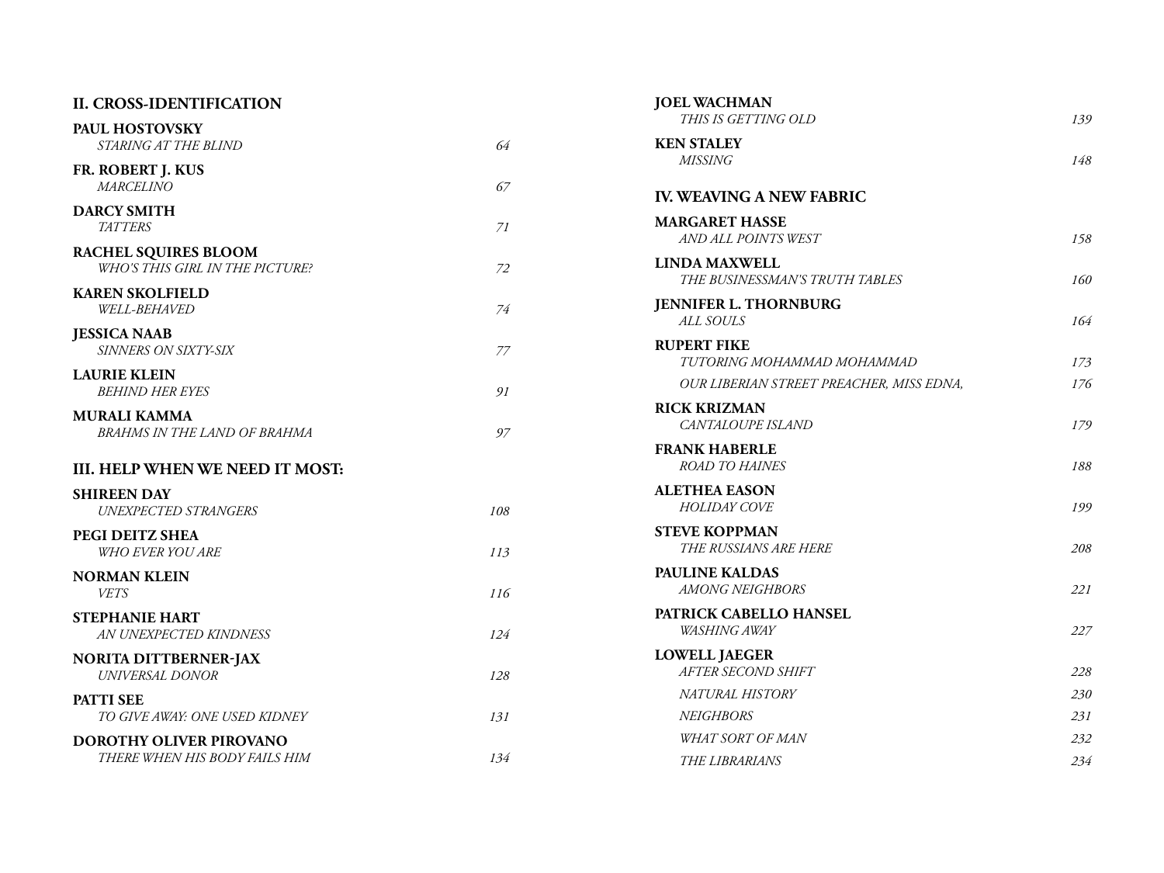| <b>II. CROSS-IDENTIFICATION</b>                 |     | <b>JOEL WACHMAN</b>                             |     |
|-------------------------------------------------|-----|-------------------------------------------------|-----|
| PAUL HOSTOVSKY                                  |     | THIS IS GETTING OLD                             | 139 |
| STARING AT THE BLIND                            | 64  | <b>KEN STALEY</b>                               |     |
| FR. ROBERT J. KUS                               |     | <b>MISSING</b>                                  | 148 |
| <b>MARCELINO</b>                                | 67  | <b>IV. WEAVING A NEW FABRIC</b>                 |     |
| <b>DARCY SMITH</b>                              |     | <b>MARGARET HASSE</b>                           |     |
| <b>TATTERS</b>                                  | 71  | AND ALL POINTS WEST                             | 158 |
| RACHEL SQUIRES BLOOM                            |     | <b>LINDA MAXWELL</b>                            |     |
| WHO'S THIS GIRL IN THE PICTURE?                 | 72  | THE BUSINESSMAN'S TRUTH TABLES                  | 160 |
| <b>KAREN SKOLFIELD</b><br><b>WELL-BEHAVED</b>   | 74  | <b>JENNIFER L. THORNBURG</b>                    |     |
|                                                 |     | ALL SOULS                                       | 164 |
| <b>JESSICA NAAB</b><br>SINNERS ON SIXTY-SIX     | 77  | <b>RUPERT FIKE</b>                              |     |
| <b>LAURIE KLEIN</b>                             |     | TUTORING MOHAMMAD MOHAMMAD                      | 173 |
| <b>BEHIND HER EYES</b>                          | 91  | OUR LIBERIAN STREET PREACHER, MISS EDNA,        | 176 |
| <b>MURALI KAMMA</b>                             |     | <b>RICK KRIZMAN</b>                             |     |
| BRAHMS IN THE LAND OF BRAHMA                    | 97  | CANTALOUPE ISLAND                               | 179 |
|                                                 |     | <b>FRANK HABERLE</b>                            |     |
| III. HELP WHEN WE NEED IT MOST:                 |     | ROAD TO HAINES                                  | 188 |
| <b>SHIREEN DAY</b>                              |     | <b>ALETHEA EASON</b>                            |     |
| UNEXPECTED STRANGERS                            | 108 | <b>HOLIDAY COVE</b>                             | 199 |
| PEGI DEITZ SHEA                                 |     | <b>STEVE KOPPMAN</b><br>THE RUSSIANS ARE HERE   | 208 |
| <b>WHO EVER YOU ARE</b>                         | 113 |                                                 |     |
| <b>NORMAN KLEIN</b><br><b>VETS</b>              | 116 | <b>PAULINE KALDAS</b><br><b>AMONG NEIGHBORS</b> | 221 |
|                                                 |     | PATRICK CABELLO HANSEL                          |     |
| <b>STEPHANIE HART</b><br>AN UNEXPECTED KINDNESS | 124 | WASHING AWAY                                    | 227 |
|                                                 |     | <b>LOWELL JAEGER</b>                            |     |
| <b>NORITA DITTBERNER-JAX</b><br>UNIVERSAL DONOR | 128 | AFTER SECOND SHIFT                              | 228 |
| <b>PATTI SEE</b>                                |     | NATURAL HISTORY                                 | 230 |
| TO GIVE AWAY: ONE USED KIDNEY                   | 131 | <b>NEIGHBORS</b>                                | 231 |
| DOROTHY OLIVER PIROVANO                         |     | <b>WHAT SORT OF MAN</b>                         | 232 |
| THERE WHEN HIS BODY FAILS HIM                   | 134 | <b>THE LIBRARIANS</b>                           | 234 |